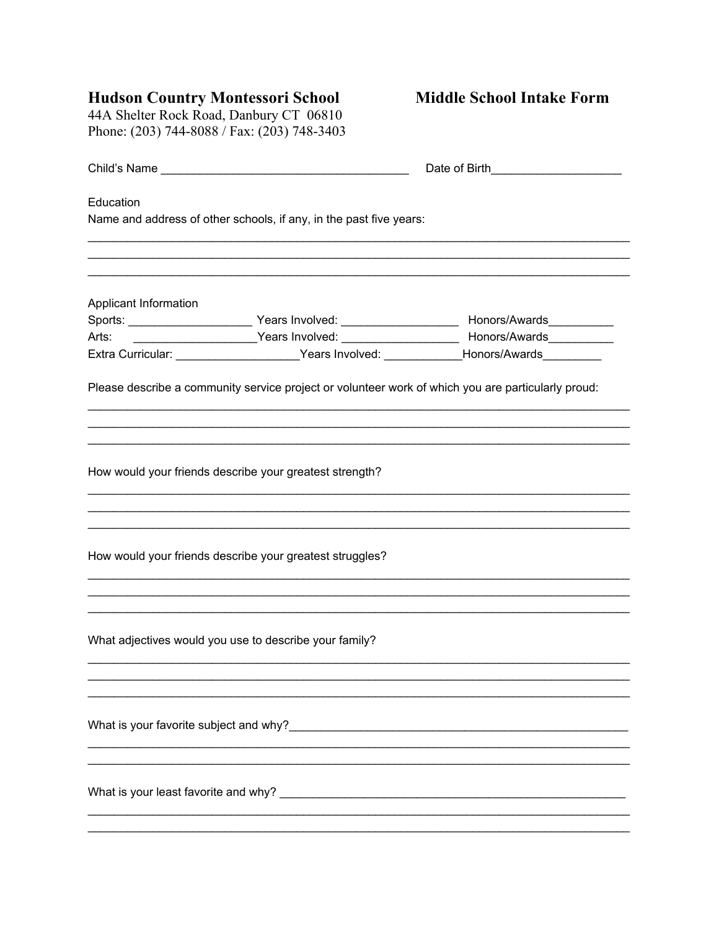Hudson Country Montessori School<br>44A Shelter Rock Road, Danbury CT 06810<br>Phone: (203) 744-8088 / Fax: (203) 748-3403

| Education             | Name and address of other schools, if any, in the past five years: |                                                                                                            |
|-----------------------|--------------------------------------------------------------------|------------------------------------------------------------------------------------------------------------|
|                       |                                                                    |                                                                                                            |
| Applicant Information |                                                                    |                                                                                                            |
|                       |                                                                    |                                                                                                            |
|                       |                                                                    | Arts: ________________________Years Involved: __________________________________ Honors/Awards____________ |
|                       |                                                                    | Extra Curricular: _____________________Years Involved: ____________Honors/Awards__________                 |
|                       |                                                                    | Please describe a community service project or volunteer work of which you are particularly proud:         |
|                       | How would your friends describe your greatest strength?            |                                                                                                            |
|                       | How would your friends describe your greatest struggles?           |                                                                                                            |
|                       | What adjectives would you use to describe your family?             |                                                                                                            |
|                       |                                                                    |                                                                                                            |
|                       |                                                                    |                                                                                                            |
|                       |                                                                    |                                                                                                            |